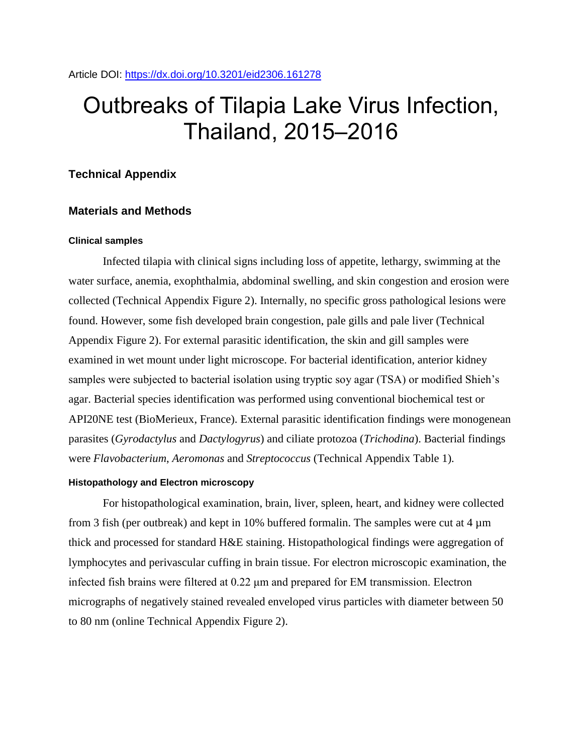# Outbreaks of Tilapia Lake Virus Infection, Thailand, 2015–2016

## **Technical Appendix**

# **Materials and Methods**

## **Clinical samples**

Infected tilapia with clinical signs including loss of appetite, lethargy, swimming at the water surface, anemia, exophthalmia, abdominal swelling, and skin congestion and erosion were collected (Technical Appendix Figure 2). Internally, no specific gross pathological lesions were found. However, some fish developed brain congestion, pale gills and pale liver (Technical Appendix Figure 2). For external parasitic identification, the skin and gill samples were examined in wet mount under light microscope. For bacterial identification, anterior kidney samples were subjected to bacterial isolation using tryptic soy agar (TSA) or modified Shieh's agar. Bacterial species identification was performed using conventional biochemical test or API20NE test (BioMerieux, France). External parasitic identification findings were monogenean parasites (*Gyrodactylus* and *Dactylogyrus*) and ciliate protozoa (*Trichodina*). Bacterial findings were *Flavobacterium*, *Aeromonas* and *Streptococcus* (Technical Appendix Table 1).

#### **Histopathology and Electron microscopy**

For histopathological examination, brain, liver, spleen, heart, and kidney were collected from 3 fish (per outbreak) and kept in 10% buffered formalin. The samples were cut at 4  $\mu$ m thick and processed for standard H&E staining. Histopathological findings were aggregation of lymphocytes and perivascular cuffing in brain tissue. For electron microscopic examination, the infected fish brains were filtered at 0.22 μm and prepared for EM transmission. Electron micrographs of negatively stained revealed enveloped virus particles with diameter between 50 to 80 nm (online Technical Appendix Figure 2).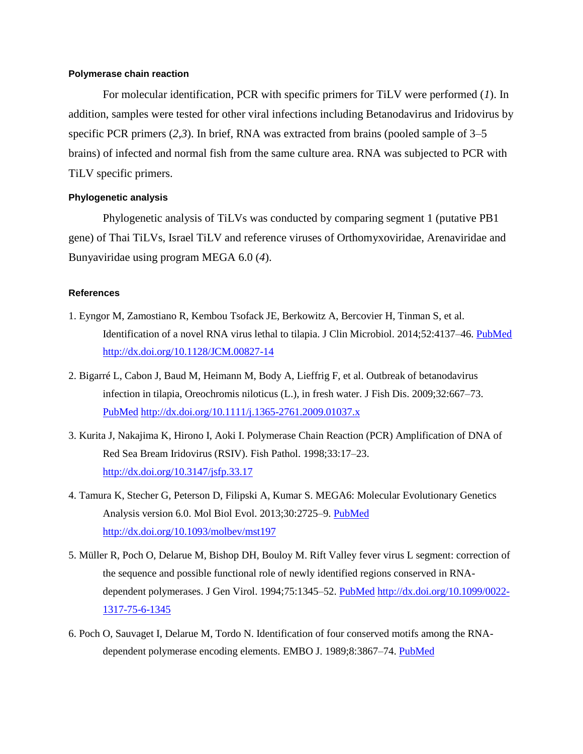## **Polymerase chain reaction**

For molecular identification, PCR with specific primers for TiLV were performed (*1*). In addition, samples were tested for other viral infections including Betanodavirus and Iridovirus by specific PCR primers (*2*,*3*). In brief, RNA was extracted from brains (pooled sample of 3–5 brains) of infected and normal fish from the same culture area. RNA was subjected to PCR with TiLV specific primers.

## **Phylogenetic analysis**

Phylogenetic analysis of TiLVs was conducted by comparing segment 1 (putative PB1 gene) of Thai TiLVs, Israel TiLV and reference viruses of Orthomyxoviridae, Arenaviridae and Bunyaviridae using program MEGA 6.0 (*4*).

## **References**

- 1. Eyngor M, Zamostiano R, Kembou Tsofack JE, Berkowitz A, Bercovier H, Tinman S, et al. Identification of a novel RNA virus lethal to tilapia. J Clin Microbiol. 2014;52:4137–46. [PubMed](https://www.ncbi.nlm.nih.gov/entrez/query.fcgi?cmd=Retrieve&db=PubMed&list_uids=25232154&dopt=Abstract) <http://dx.doi.org/10.1128/JCM.00827-14>
- 2. Bigarré L, Cabon J, Baud M, Heimann M, Body A, Lieffrig F, et al. Outbreak of betanodavirus infection in tilapia, Oreochromis niloticus (L.), in fresh water. J Fish Dis. 2009;32:667–7[3.](https://www.ncbi.nlm.nih.gov/entrez/query.fcgi?cmd=Retrieve&db=PubMed&list_uids=19500206&dopt=Abstract) [PubMed](https://www.ncbi.nlm.nih.gov/entrez/query.fcgi?cmd=Retrieve&db=PubMed&list_uids=19500206&dopt=Abstract) <http://dx.doi.org/10.1111/j.1365-2761.2009.01037.x>
- 3. Kurita J, Nakajima K, Hirono I, Aoki I. Polymerase Chain Reaction (PCR) Amplification of DNA of Red Sea Bream Iridovirus (RSIV). Fish Pathol. 1998;33:17–23. <http://dx.doi.org/10.3147/jsfp.33.17>
- 4. Tamura K, Stecher G, Peterson D, Filipski A, Kumar S. MEGA6: Molecular Evolutionary Genetics Analysis version 6.0. Mol Biol Evol. 2013;30:2725–9. [PubMed](https://www.ncbi.nlm.nih.gov/entrez/query.fcgi?cmd=Retrieve&db=PubMed&list_uids=24132122&dopt=Abstract) <http://dx.doi.org/10.1093/molbev/mst197>
- 5. Müller R, Poch O, Delarue M, Bishop DH, Bouloy M. Rift Valley fever virus L segment: correction of the sequence and possible functional role of newly identified regions conserved in RNA-dependent polymerases. J Gen Virol. 1994;75:1345–52. [PubMed](https://www.ncbi.nlm.nih.gov/entrez/query.fcgi?cmd=Retrieve&db=PubMed&list_uids=7515937&dopt=Abstract) [http://dx.doi.org/10.1099/0022-](http://dx.doi.org/10.1099/0022-1317-75-6-1345) [1317-75-6-1345](http://dx.doi.org/10.1099/0022-1317-75-6-1345)
- 6. Poch O, Sauvaget I, Delarue M, Tordo N. Identification of four conserved motifs among the RNAdependent polymerase encoding elements. EMBO J. 1989;8:3867–74. [PubMed](https://www.ncbi.nlm.nih.gov/entrez/query.fcgi?cmd=Retrieve&db=PubMed&list_uids=2555175&dopt=Abstract)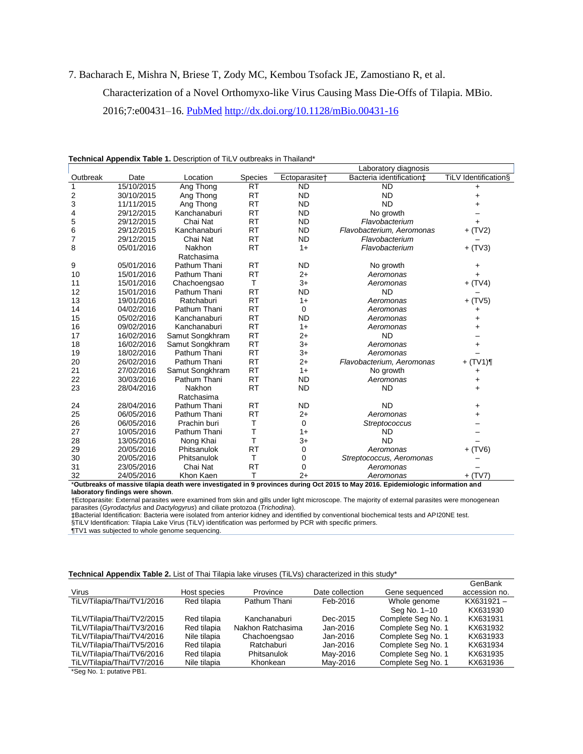#### 7. Bacharach E, Mishra N, Briese T, Zody MC, Kembou Tsofack JE, Zamostiano R, et al.

Characterization of a Novel Orthomyxo-like Virus Causing Mass Die-Offs of Tilapia. MBio.

2016;7:e00431–16. [PubMed](https://www.ncbi.nlm.nih.gov/entrez/query.fcgi?cmd=Retrieve&db=PubMed&list_uids=27048802&dopt=Abstract) <http://dx.doi.org/10.1128/mBio.00431-16>

| Technical Appendix Table 1. Description of TiLV outbreaks in Thailand* |  |  |
|------------------------------------------------------------------------|--|--|
|------------------------------------------------------------------------|--|--|

|                                                                                                                                 |            |                 |           |                           | Laboratory diagnosis      |                      |  |
|---------------------------------------------------------------------------------------------------------------------------------|------------|-----------------|-----------|---------------------------|---------------------------|----------------------|--|
| Outbreak                                                                                                                        | Date       | Location        | Species   | Ectoparasite <sup>+</sup> | Bacteria identification‡  | TiLV Identification§ |  |
| 1                                                                                                                               | 15/10/2015 | Ang Thong       | <b>RT</b> | <b>ND</b>                 | <b>ND</b>                 | $\ddot{}$            |  |
| 2                                                                                                                               | 30/10/2015 | Ang Thong       | <b>RT</b> | <b>ND</b>                 | <b>ND</b>                 | +                    |  |
| 3                                                                                                                               | 11/11/2015 | Ang Thong       | <b>RT</b> | <b>ND</b>                 | <b>ND</b>                 |                      |  |
| 4                                                                                                                               | 29/12/2015 | Kanchanaburi    | <b>RT</b> | <b>ND</b>                 | No growth                 |                      |  |
| 5                                                                                                                               | 29/12/2015 | Chai Nat        | <b>RT</b> | <b>ND</b>                 | Flavobacterium            | +                    |  |
| 6                                                                                                                               | 29/12/2015 | Kanchanaburi    | <b>RT</b> | <b>ND</b>                 | Flavobacterium, Aeromonas | $+$ (TV2)            |  |
| 7                                                                                                                               | 29/12/2015 | Chai Nat        | <b>RT</b> | <b>ND</b>                 | Flavobacterium            |                      |  |
| 8                                                                                                                               | 05/01/2016 | Nakhon          | <b>RT</b> | $1+$                      | Flavobacterium            | $+$ (TV3)            |  |
|                                                                                                                                 |            | Ratchasima      |           |                           |                           |                      |  |
| 9                                                                                                                               | 05/01/2016 | Pathum Thani    | <b>RT</b> | <b>ND</b>                 | No growth                 | +                    |  |
| 10                                                                                                                              | 15/01/2016 | Pathum Thani    | <b>RT</b> | $2+$                      | Aeromonas                 | $+$                  |  |
| 11                                                                                                                              | 15/01/2016 | Chachoengsao    | Τ         | $3+$                      | Aeromonas                 | $+$ (TV4)            |  |
| 12                                                                                                                              | 15/01/2016 | Pathum Thani    | <b>RT</b> | <b>ND</b>                 | <b>ND</b>                 |                      |  |
| 13                                                                                                                              | 19/01/2016 | Ratchaburi      | <b>RT</b> | $1+$                      | Aeromonas                 | $+$ (TV5)            |  |
| 14                                                                                                                              | 04/02/2016 | Pathum Thani    | <b>RT</b> | 0                         | Aeromonas                 | +                    |  |
| 15                                                                                                                              | 05/02/2016 | Kanchanaburi    | <b>RT</b> | <b>ND</b>                 | Aeromonas                 |                      |  |
| 16                                                                                                                              | 09/02/2016 | Kanchanaburi    | <b>RT</b> | $1+$                      | Aeromonas                 | $\ddot{}$            |  |
| 17                                                                                                                              | 16/02/2016 | Samut Songkhram | <b>RT</b> | $2+$                      | <b>ND</b>                 |                      |  |
| 18                                                                                                                              | 16/02/2016 | Samut Songkhram | <b>RT</b> | $3+$                      | Aeromonas                 | $\ddot{}$            |  |
| 19                                                                                                                              | 18/02/2016 | Pathum Thani    | <b>RT</b> | $3+$                      | Aeromonas                 |                      |  |
| 20                                                                                                                              | 26/02/2016 | Pathum Thani    | <b>RT</b> | $2+$                      | Flavobacterium, Aeromonas | $+$ (TV1)¶           |  |
| 21                                                                                                                              | 27/02/2016 | Samut Songkhram | <b>RT</b> | $1+$                      | No growth                 | $\ddot{}$            |  |
| 22                                                                                                                              | 30/03/2016 | Pathum Thani    | <b>RT</b> | <b>ND</b>                 | Aeromonas                 | $\ddot{}$            |  |
| 23                                                                                                                              | 28/04/2016 | Nakhon          | <b>RT</b> | <b>ND</b>                 | <b>ND</b>                 |                      |  |
|                                                                                                                                 |            | Ratchasima      |           |                           |                           |                      |  |
| 24                                                                                                                              | 28/04/2016 | Pathum Thani    | <b>RT</b> | <b>ND</b>                 | <b>ND</b>                 | +                    |  |
| 25                                                                                                                              | 06/05/2016 | Pathum Thani    | <b>RT</b> | $2+$                      | Aeromonas                 | +                    |  |
| 26                                                                                                                              | 06/05/2016 | Prachin buri    | Т         | $\mathbf 0$               | Streptococcus             |                      |  |
| 27                                                                                                                              | 10/05/2016 | Pathum Thani    | T         | $1+$                      | <b>ND</b>                 |                      |  |
| 28                                                                                                                              | 13/05/2016 | Nong Khai       | T         | $3+$                      | <b>ND</b>                 |                      |  |
| 29                                                                                                                              | 20/05/2016 | Phitsanulok     | <b>RT</b> | 0                         | Aeromonas                 | $+$ (TV6)            |  |
| 30                                                                                                                              | 20/05/2016 | Phitsanulok     | Τ         | 0                         | Streptococcus, Aeromonas  |                      |  |
| 31                                                                                                                              | 23/05/2016 | Chai Nat        | <b>RT</b> | 0                         | Aeromonas                 |                      |  |
| 32                                                                                                                              | 24/05/2016 | Khon Kaen       | т         | $2+$                      | Aeromonas                 | $+$ (TV7)            |  |
| *Outbreaks of massive tilapia death were investigated in 9 provinces during Oct 2015 to May 2016. Epidemiologic information and |            |                 |           |                           |                           |                      |  |

**laboratory findings were shown**.

†Ectoparasite: External parasites were examined from skin and gills under light microscope. The majority of external parasites were monogenean parasites (*Gyrodactylus* and *Dactylogyrus*) and ciliate protozoa (*Trichodina*).

‡Bacterial Identification: Bacteria were isolated from anterior kidney and identified by conventional biochemical tests and API20NE test.

§TiLV Identification: Tilapia Lake Virus (TiLV) identification was performed by PCR with specific primers.

¶TV1 was subjected to whole genome sequencing.

#### **Technical Appendix Table 2.** List of Thai Tilapia lake viruses (TiLVs) characterized in this study\*

|                            |              |                   |                 |                    | GenBank       |
|----------------------------|--------------|-------------------|-----------------|--------------------|---------------|
| Virus                      | Host species | Province          | Date collection | Gene sequenced     | accession no. |
| TiLV/Tilapia/Thai/TV1/2016 | Red tilapia  | Pathum Thani      | Feb-2016        | Whole genome       | KX631921-     |
|                            |              |                   |                 | Sea No. 1-10       | KX631930      |
| TiLV/Tilapia/Thai/TV2/2015 | Red tilapia  | Kanchanaburi      | Dec-2015        | Complete Seg No. 1 | KX631931      |
| TiLV/Tilapia/Thai/TV3/2016 | Red tilapia  | Nakhon Ratchasima | Jan-2016        | Complete Seg No. 1 | KX631932      |
| TiLV/Tilapia/Thai/TV4/2016 | Nile tilapia | Chachoengsao      | Jan-2016        | Complete Seg No. 1 | KX631933      |
| TiLV/Tilapia/Thai/TV5/2016 | Red tilapia  | Ratchaburi        | Jan-2016        | Complete Seg No. 1 | KX631934      |
| TiLV/Tilapia/Thai/TV6/2016 | Red tilapia  | Phitsanulok       | May-2016        | Complete Seg No. 1 | KX631935      |
| TiLV/Tilapia/Thai/TV7/2016 | Nile tilapia | Khonkean          | May-2016        | Complete Sea No. 1 | KX631936      |

\*Seg No. 1: putative PB1.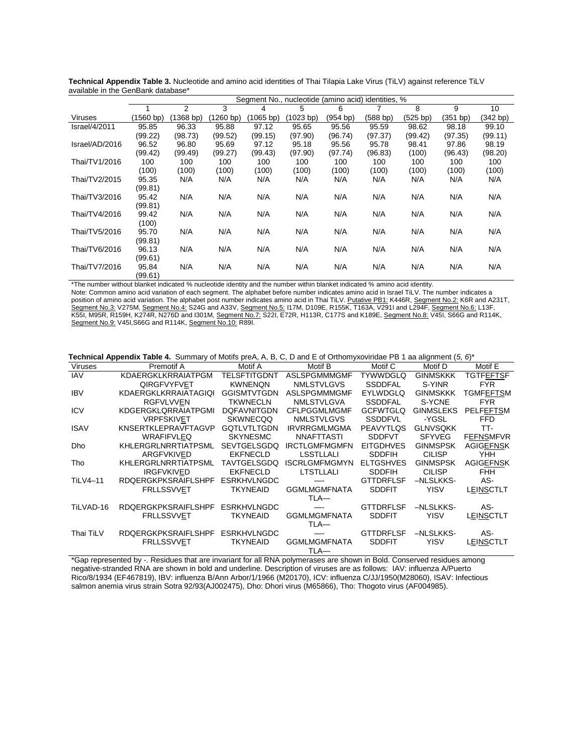|                      | Segment No., nucleotide (amino acid) identities, % |           |          |           |           |          |          |          |          |          |
|----------------------|----------------------------------------------------|-----------|----------|-----------|-----------|----------|----------|----------|----------|----------|
|                      |                                                    | 2         | 3        | 4         | 5         | 6        |          | 8        | 9        | 10       |
| <b>Viruses</b>       | (1560 bp)                                          | (1368 bp) | (1260 b) | (1065 bp) | (1023 bp) | (954 bp) | (588 bp) | (525 bp) | (351 bp) | (342 bp) |
| <b>Israel/4/2011</b> | 95.85                                              | 96.33     | 95.88    | 97.12     | 95.65     | 95.56    | 95.59    | 98.62    | 98.18    | 99.10    |
|                      | (99.22)                                            | (98.73)   | (99.52)  | (99.15)   | (97.90)   | (96.74)  | (97.37)  | (99.42)  | (97.35)  | (99.11)  |
| Israel/AD/2016       | 96.52                                              | 96.80     | 95.69    | 97.12     | 95.18     | 95.56    | 95.78    | 98.41    | 97.86    | 98.19    |
|                      | (99.42)                                            | (99.49)   | (99.27)  | (99.43)   | (97.90)   | (97.74)  | (96.83)  | (100)    | (96.43)  | (98.20)  |
| Thai/TV1/2016        | 100                                                | 100       | 100      | 100       | 100       | 100      | 100      | 100      | 100      | 100      |
|                      | (100)                                              | (100)     | (100)    | (100)     | (100)     | (100)    | (100)    | (100)    | (100)    | (100)    |
| Thai/TV2/2015        | 95.35                                              | N/A       | N/A      | N/A       | N/A       | N/A      | N/A      | N/A      | N/A      | N/A      |
| Thai/TV3/2016        | (99.81)<br>95.42                                   | N/A       | N/A      | N/A       | N/A       | N/A      | N/A      | N/A      | N/A      | N/A      |
|                      | (99.81)                                            |           |          |           |           |          |          |          |          |          |
| Thai/TV4/2016        | 99.42                                              | N/A       | N/A      | N/A       | N/A       | N/A      | N/A      | N/A      | N/A      | N/A      |
|                      | (100)                                              |           |          |           |           |          |          |          |          |          |
| Thai/TV5/2016        | 95.70                                              | N/A       | N/A      | N/A       | N/A       | N/A      | N/A      | N/A      | N/A      | N/A      |
|                      | (99.81)                                            |           |          |           |           |          |          |          |          |          |
| Thai/TV6/2016        | 96.13                                              | N/A       | N/A      | N/A       | N/A       | N/A      | N/A      | N/A      | N/A      | N/A      |
|                      | (99.61)                                            |           |          |           |           |          |          |          |          |          |
| Thai/TV7/2016        | 95.84                                              | N/A       | N/A      | N/A       | N/A       | N/A      | N/A      | N/A      | N/A      | N/A      |
|                      | (99.61)                                            |           |          |           |           |          |          |          |          |          |

**Technical Appendix Table 3.** Nucleotide and amino acid identities of Thai Tilapia Lake Virus (TiLV) against reference TiLV available in the GenBank database\*

\*The number without blanket indicated % nucleotide identity and the number within blanket indicated % amino acid identity.

Note: Common amino acid variation of each segment. The alphabet before number indicates amino acid in Israel TiLV. The number indicates a position of amino acid variation. The alphabet post number indicates amino acid in Thai TiLV. Putative PB1: K446R, Segment No.2: K6R and A231T, Segment No.3: V275M, Segment No.4: S24G and A33V, Segment No.5: I17M, D109E, R155K, T163A, V291I and L294F, Segment No.6: L13F, K55I, M95R, R159H, K274R, N276D and I301M, <u>Segment No.7:</u> S22I, E72R, H113R, C177S and K189E, <u>Segment No.8:</u> V45I, S66G and R114K, Segment No.9: V45I, S66G and R114K, Segment No.10: R89I.

**Technical Appendix Table 4.** Summary of Motifs preA, A, B, C, D and E of Orthomyxoviridae PB 1 aa alignment (*5, 6*)\*

| <b>Technical Appendix Table 4.</b> Summary of Modis preA, A, D, C, D and E or Ontionity XOVINGE FD T ad angliment (0, 0) |                             |                    |                      |                  |                  |                  |
|--------------------------------------------------------------------------------------------------------------------------|-----------------------------|--------------------|----------------------|------------------|------------------|------------------|
| <b>Viruses</b>                                                                                                           | Premotif A                  | Motif A            | Motif B              | Motif C          | Motif D          | Motif E          |
| <b>IAV</b>                                                                                                               | KDAERGKLKRRAIATPGM          | TELSFTITGDNT       | ASLSPGMMMGMF         | <b>TYWWDGLQ</b>  | <b>GINMSKKK</b>  | <b>TGTFEFTSF</b> |
|                                                                                                                          | <b>QIRGFVYFVET</b>          | <b>KWNENON</b>     | <b>NMLSTVLGVS</b>    | <b>SSDDFAL</b>   | S-YINR           | <b>FYR</b>       |
| <b>IBV</b>                                                                                                               | <b>KDAERGKLKRRAIATAGIQI</b> | <b>GGISMTVTGDN</b> | ASLSPGMMMGMF         | <b>EYLWDGLQ</b>  | <b>GINMSKKK</b>  | TGMFEFTSM        |
|                                                                                                                          | <b>RGFVLVVEN</b>            | <b>TKWNECLN</b>    | <b>NMLSTVLGVA</b>    | <b>SSDDFAL</b>   | S-YCNE           | <b>FYR</b>       |
| <b>ICV</b>                                                                                                               | KDGERGKLQRRAIATPGMI         | <b>DQFAVNITGDN</b> | <b>CFLPGGMLMGMF</b>  | <b>GCFWTGLQ</b>  | <b>GINMSLEKS</b> | PELFEFTSM        |
|                                                                                                                          | <b>VRPFSKIVET</b>           | <b>SKWNECQQ</b>    | <b>NMLSTVLGVS</b>    | <b>SSDDFVL</b>   | -YGSL            | <b>FFD</b>       |
| <b>ISAV</b>                                                                                                              | KNSERTKLEPRAVFTAGVP         | <b>GOTLVTLTGDN</b> | <b>IRVRRGMLMGMA</b>  | <b>PEAVYTLOS</b> | <b>GLNVSQKK</b>  | TT-              |
|                                                                                                                          | <b>WRAFIFVLEQ</b>           | <b>SKYNESMC</b>    | NNAFTTASTI           | <b>SDDFVT</b>    | <b>SFYVEG</b>    | <b>FEFNSMFVR</b> |
| <b>Dho</b>                                                                                                               | KHLERGRLNRRTIATPSML         | <b>SEVTGELSGDQ</b> | <b>IRCTLGMFMGMFN</b> | <b>EITGDHVES</b> | <b>GINMSPSK</b>  | <b>AGIGEFNSK</b> |
|                                                                                                                          | ARGFVKIVED                  | <b>EKFNECLD</b>    | LSSTLLALI            | <b>SDDFIH</b>    | <b>CILISP</b>    | <b>YHH</b>       |
| Tho                                                                                                                      | KHLERGRLNRRTIATPSML         | <b>TAVTGELSGDQ</b> | ISCRLGMFMGMYN        | <b>ELTGSHVES</b> | <b>GINMSPSK</b>  | <b>AGIGEFNSK</b> |
|                                                                                                                          | <b>IRGFVKIVED</b>           | <b>EKFNECLD</b>    | <b>LTSTLLALI</b>     | <b>SDDFIH</b>    | <b>CILISP</b>    | <b>FHH</b>       |
| <b>TiLV4-11</b>                                                                                                          | <b>RDQERGKPKSRAIFLSHPF</b>  | <b>ESRKHVLNGDC</b> |                      | <b>GTTDRFLSF</b> | -NLSLKKS-        | AS-              |
|                                                                                                                          | <b>FRLLSSVVET</b>           | <b>TKYNEAID</b>    | <b>GGMLMGMFNATA</b>  | <b>SDDFIT</b>    | <b>YISV</b>      | LEINSCTLT        |
|                                                                                                                          |                             |                    | TLA-                 |                  |                  |                  |
| TiLVAD-16                                                                                                                | <b>RDQERGKPKSRAIFLSHPF</b>  | <b>ESRKHVLNGDC</b> |                      | <b>GTTDRFLSF</b> | -NLSLKKS-        | AS-              |
|                                                                                                                          | <b>FRLLSSVVET</b>           | <b>TKYNEAID</b>    | <b>GGMLMGMFNATA</b>  | <b>SDDFIT</b>    | <b>YISV</b>      | LEINSCTLT        |
|                                                                                                                          |                             |                    | TLA-                 |                  |                  |                  |
| Thai TiLV                                                                                                                | <b>RDQERGKPKSRAIFLSHPF</b>  | <b>ESRKHVLNGDC</b> |                      | <b>GTTDRFLSF</b> | -NLSLKKS-        | AS-              |
|                                                                                                                          | <b>FRLLSSVVET</b>           | <b>TKYNEAID</b>    | <b>GGMLMGMFNATA</b>  | <b>SDDFIT</b>    | <b>YISV</b>      | LEINSCTLT        |
|                                                                                                                          |                             |                    | TLA-                 |                  |                  |                  |

\*Gap represented by -. Residues that are invariant for all RNA polymerases are shown in Bold. Conserved residues among negative-stranded RNA are shown in bold and underline. Description of viruses are as follows: IAV: influenza A/Puerto Rico/8/1934 (EF467819), IBV: influenza B/Ann Arbor/1/1966 (M20170), ICV: influenza C/JJ/1950(M28060), ISAV: Infectious salmon anemia virus strain Sotra 92/93(AJ002475), Dho: Dhori virus (M65866), Tho: Thogoto virus (AF004985).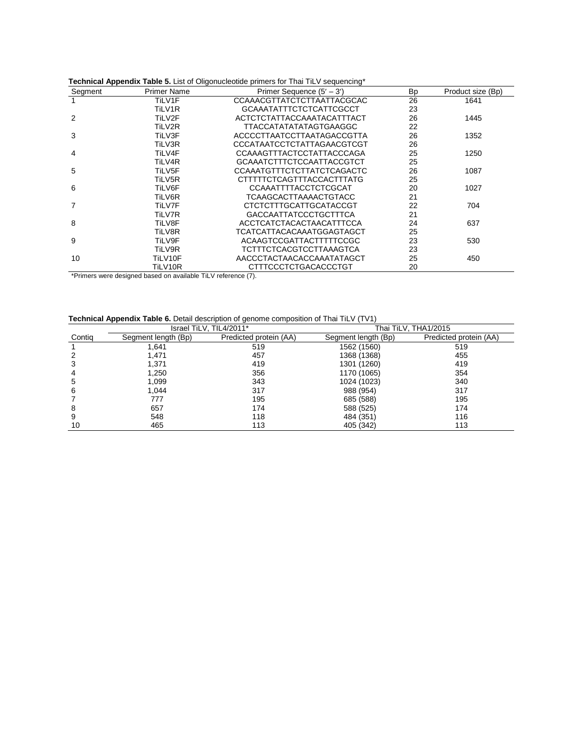| Segment | <b>Primer Name</b> | <b>Tournoar Appenant Table of Elot of Origonaologiao primoto for That TIEV ocquoitoing</b><br>Primer Sequence $(5' - 3')$ | <b>Bp</b> | Product size (Bp) |
|---------|--------------------|---------------------------------------------------------------------------------------------------------------------------|-----------|-------------------|
|         | TiLV1F             | CCAAACGTTATCTCTTAATTACGCAC                                                                                                | 26        | 1641              |
|         | TiLV1R             | <b>GCAAATATTTCTCTCATTCGCCT</b>                                                                                            | 23        |                   |
| 2       | TiLV2F             | ACTCTCTATTACCAAATACATTTACT                                                                                                | 26        | 1445              |
|         | TiLV2R             | TTACCATATATATAGTGAAGGC                                                                                                    | 22        |                   |
| 3       | TiLV3F             | ACCCCTTAATCCTTAATAGACCGTTA                                                                                                | 26        | 1352              |
|         | TiLV3R             | CCCATAATCCTCTATTAGAACGTCGT                                                                                                | 26        |                   |
| 4       | TiLV4F             | CCAAAGTTTACTCCTATTACCCAGA                                                                                                 | 25        | 1250              |
|         | TiLV4R             | <b>GCAAATCTTTCTCCAATTACCGTCT</b>                                                                                          | 25        |                   |
| 5       | TiLV5F             | CCAAATGTTTCTCTTATCTCAGACTC                                                                                                | 26        | 1087              |
|         | TiLV5R             | CTTTTTCTCAGTTTACCACTTTATG                                                                                                 | 25        |                   |
| 6       | TiLV6F             | CCAAATTTTACCTCTCGCAT                                                                                                      | 20        | 1027              |
|         | TiLV6R             | TCAAGCACTTAAAACTGTACC                                                                                                     | 21        |                   |
| 7       | TiLV7F             | CTCTCTTTGCATTGCATACCGT                                                                                                    | 22        | 704               |
|         | TiLV7R             | <b>GACCAATTATCCCTGCTTTCA</b>                                                                                              | 21        |                   |
| 8       | TiLV8F             | ACCTCATCTACACTAACATTTCCA                                                                                                  | 24        | 637               |
|         | TiLV8R             | TCATCATTACACAAATGGAGTAGCT                                                                                                 | 25        |                   |
| 9       | TiLV9F             | ACAAGTCCGATTACTTTTTCCGC                                                                                                   | 23        | 530               |
|         | TiLV9R             | <b>TCTTTCTCACGTCCTTAAAGTCA</b>                                                                                            | 23        |                   |
| 10      | TiLV10F            | AACCCTACTAACACCAAATATAGCT                                                                                                 | 25        | 450               |
|         | TiLV10R            | CTTTCCCTCTGACACCCTGT                                                                                                      | 20        |                   |

**Technical Appendix Table 5.** List of Oligonucleotide primers for Thai TiLV sequencing\*

\*Primers were designed based on available TiLV reference (7).

#### **Technical Appendix Table 6.** Detail description of genome composition of Thai TiLV (TV1)

|        | . .                 |                         |                      |                        |  |
|--------|---------------------|-------------------------|----------------------|------------------------|--|
|        |                     | Israel TiLV, TIL4/2011* | Thai TiLV, THA1/2015 |                        |  |
| Contig | Segment length (Bp) | Predicted protein (AA)  | Segment length (Bp)  | Predicted protein (AA) |  |
|        | .641                | 519                     | 1562 (1560)          | 519                    |  |
| 2      | 1.471               | 457                     | 1368 (1368)          | 455                    |  |
| 3      | 1,371               | 419                     | 1301 (1260)          | 419                    |  |
| 4      | 1,250               | 356                     | 1170 (1065)          | 354                    |  |
| 5      | 1.099               | 343                     | 1024 (1023)          | 340                    |  |
| 6      | 1.044               | 317                     | 988 (954)            | 317                    |  |
|        | 777                 | 195                     | 685 (588)            | 195                    |  |
| 8      | 657                 | 174                     | 588 (525)            | 174                    |  |
| 9      | 548                 | 118                     | 484 (351)            | 116                    |  |
| 10     | 465                 | 113                     | 405 (342)            | 113                    |  |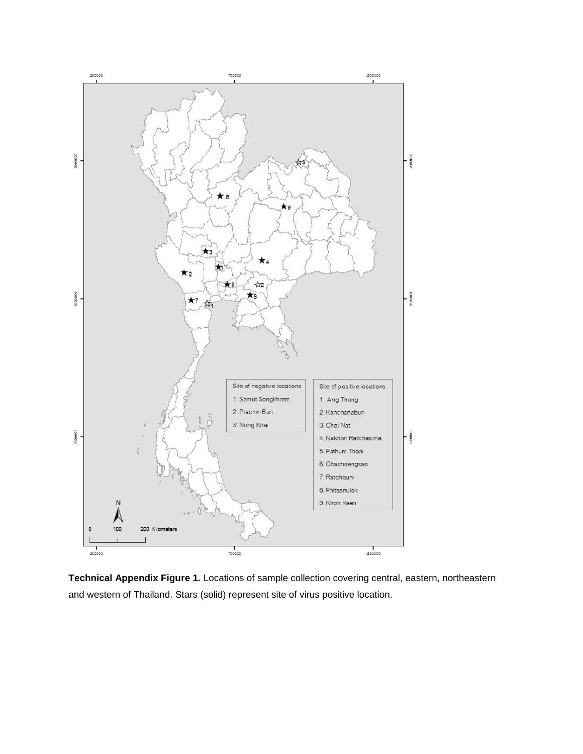

**Technical Appendix Figure 1.** Locations of sample collection covering central, eastern, northeastern and western of Thailand. Stars (solid) represent site of virus positive location.